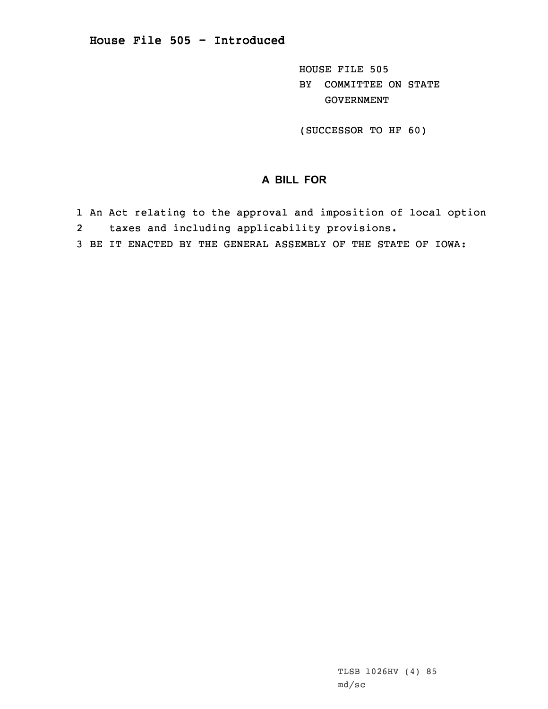HOUSE FILE 505 BY COMMITTEE ON STATE GOVERNMENT

(SUCCESSOR TO HF 60)

## **A BILL FOR**

- 1 An Act relating to the approval and imposition of local option
- 2taxes and including applicability provisions.
- 3 BE IT ENACTED BY THE GENERAL ASSEMBLY OF THE STATE OF IOWA: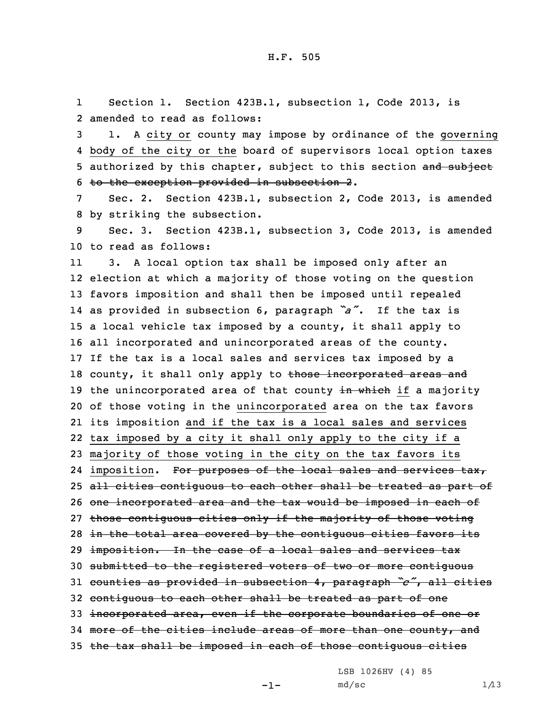1 Section 1. Section 423B.1, subsection 1, Code 2013, is 2 amended to read as follows:

 1. <sup>A</sup> city or county may impose by ordinance of the governing body of the city or the board of supervisors local option taxes 5 authorized by this chapter, subject to this section and subject to the exception provided in subsection 2.

7 Sec. 2. Section 423B.1, subsection 2, Code 2013, is amended 8 by striking the subsection.

9 Sec. 3. Section 423B.1, subsection 3, Code 2013, is amended 10 to read as follows:

11 3. <sup>A</sup> local option tax shall be imposed only after an election at which <sup>a</sup> majority of those voting on the question favors imposition and shall then be imposed until repealed as provided in subsection 6, paragraph *"a"*. If the tax is <sup>a</sup> local vehicle tax imposed by <sup>a</sup> county, it shall apply to all incorporated and unincorporated areas of the county. If the tax is <sup>a</sup> local sales and services tax imposed by <sup>a</sup> 18 county, it shall only apply to those incorporated areas and 19 the unincorporated area of that county in which if a majority of those voting in the unincorporated area on the tax favors its imposition and if the tax is <sup>a</sup> local sales and services tax imposed by <sup>a</sup> city it shall only apply to the city if <sup>a</sup> majority of those voting in the city on the tax favors its 24 imposition. For purposes of the local sales and services tax, 25 all cities contiguous to each other shall be treated as part of 26 one incorporated area and the tax would be imposed in each of 27 those contiguous cities only if the majority of those voting 28 in the total area covered by the contiquous cities favors its 29 imposition. In the case of a local sales and services tax submitted to the registered voters of two or more contiguous counties as provided in subsection 4, paragraph *"c"*, all cities contiguous to each other shall be treated as part of one incorporated area, even if the corporate boundaries of one or more of the cities include areas of more than one county, and the tax shall be imposed in each of those contiguous cities

LSB 1026HV (4) 85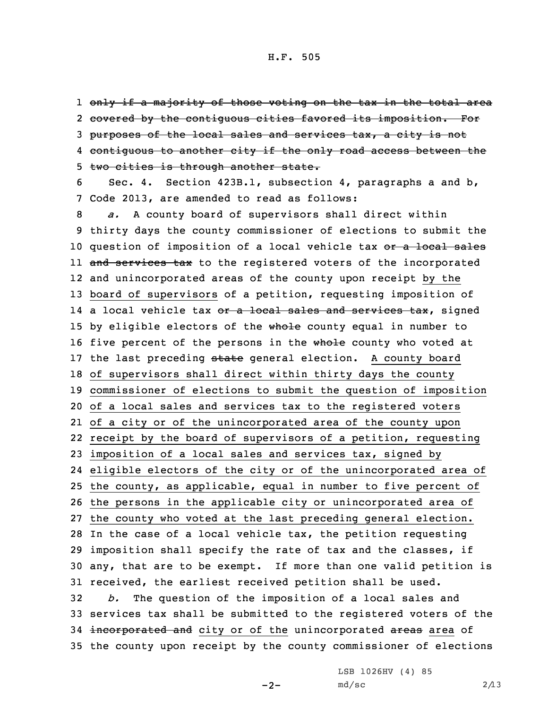1 <del>only if a majority of those voting on the tax in the total area</del> 2 <del>covered by the contiguous cities favored its imposition. For</del> 3 purposes of the local sales and services tax, <sup>a</sup> city is not 4 <del>contiguous to another city if the only road access between the</del> 5 two cities is through another state.

6 Sec. 4. Section 423B.1, subsection 4, paragraphs <sup>a</sup> and b, 7 Code 2013, are amended to read as follows:

 *a.* <sup>A</sup> county board of supervisors shall direct within thirty days the county commissioner of elections to submit the 10 question of imposition of a local vehicle tax or a local sales ll <del>and services tax</del> to the registered voters of the incorporated and unincorporated areas of the county upon receipt by the board of supervisors of <sup>a</sup> petition, requesting imposition of 14 a local vehicle tax <del>or a local sales and services tax</del>, signed 15 by eligible electors of the whole county equal in number to 16 five percent of the persons in the whole county who voted at 17 the last preceding state general election. A county board of supervisors shall direct within thirty days the county commissioner of elections to submit the question of imposition of <sup>a</sup> local sales and services tax to the registered voters of <sup>a</sup> city or of the unincorporated area of the county upon receipt by the board of supervisors of <sup>a</sup> petition, requesting imposition of <sup>a</sup> local sales and services tax, signed by eligible electors of the city or of the unincorporated area of the county, as applicable, equal in number to five percent of the persons in the applicable city or unincorporated area of the county who voted at the last preceding general election. In the case of <sup>a</sup> local vehicle tax, the petition requesting imposition shall specify the rate of tax and the classes, if any, that are to be exempt. If more than one valid petition is received, the earliest received petition shall be used. *b.* The question of the imposition of <sup>a</sup> local sales and services tax shall be submitted to the registered voters of the 34 incorporated and city or of the unincorporated areas area of the county upon receipt by the county commissioner of elections

 $-2-$ 

LSB 1026HV (4) 85  $md/sec$  2/13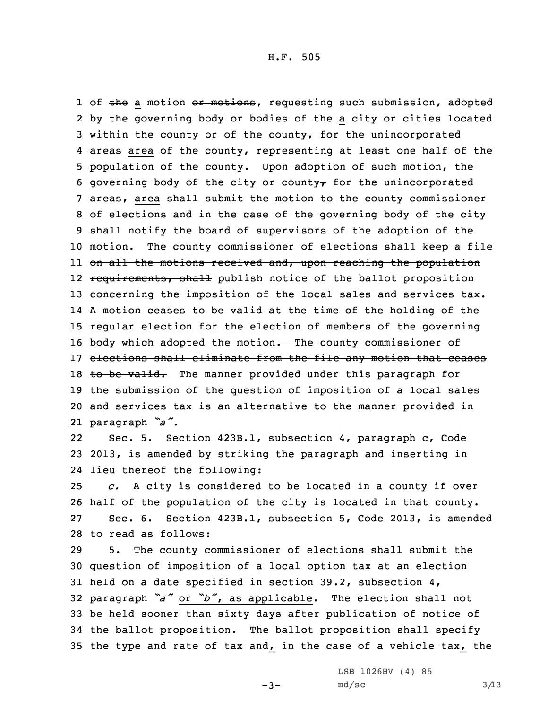1 of the a motion or motions, requesting such submission, adopted 2 by the governing body <del>or bodies</del> of <del>the</del> a city <del>or cities</del> located 3 within the county or of the county<sub> $\tau$ </sub> for the unincorporated 4 <del>areas</del> area of the county<del>, representing at least one half of the</del> 5 population of the county. Upon adoption of such motion, the 6 governing body of the city or county $\tau$  for the unincorporated 7 areas, area shall submit the motion to the county commissioner 8 of elections and in the case of the governing body of the city 9 shall notify the board of supervisors of the adoption of the 10 motion. The county commissioner of elections shall keep a file 11 on all the motions received and, upon reaching the population 12 <del>requirements, shall</del> publish notice of the ballot proposition 13 concerning the imposition of the local sales and services tax. 14 <sup>A</sup> motion ceases to be valid at the time of the holding of the 15 regular election for the election of members of the governing 16 body which adopted the motion. The county commissioner of 17 elections shall eliminate from the file any motion that ceases 18 to be valid. The manner provided under this paragraph for 19 the submission of the question of imposition of <sup>a</sup> local sales 20 and services tax is an alternative to the manner provided in 21 paragraph *"a"*.

22 Sec. 5. Section 423B.1, subsection 4, paragraph c, Code 23 2013, is amended by striking the paragraph and inserting in 24 lieu thereof the following:

 *c.* <sup>A</sup> city is considered to be located in <sup>a</sup> county if over half of the population of the city is located in that county. Sec. 6. Section 423B.1, subsection 5, Code 2013, is amended to read as follows:

 5. The county commissioner of elections shall submit the question of imposition of <sup>a</sup> local option tax at an election held on <sup>a</sup> date specified in section 39.2, subsection 4, paragraph *"a"* or *"b"*, as applicable. The election shall not be held sooner than sixty days after publication of notice of the ballot proposition. The ballot proposition shall specify the type and rate of tax and, in the case of <sup>a</sup> vehicle tax, the

-3-

LSB 1026HV (4) 85  $md/sec$  3/13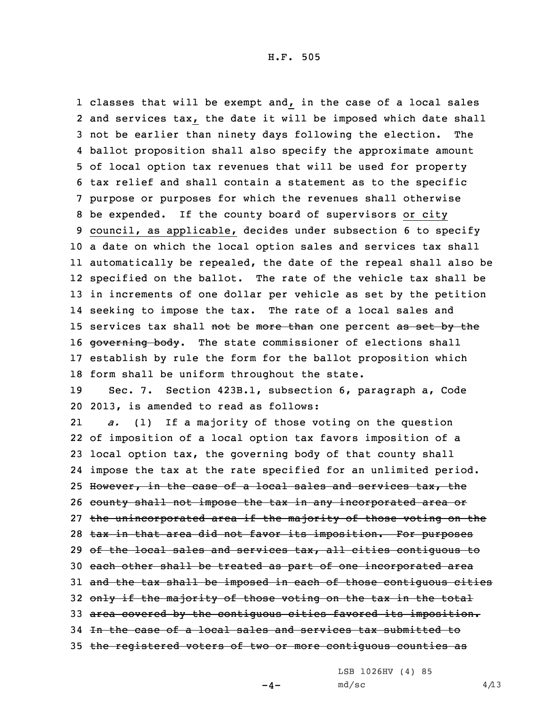classes that will be exempt and, in the case of <sup>a</sup> local sales and services tax, the date it will be imposed which date shall not be earlier than ninety days following the election. The ballot proposition shall also specify the approximate amount of local option tax revenues that will be used for property tax relief and shall contain <sup>a</sup> statement as to the specific purpose or purposes for which the revenues shall otherwise be expended. If the county board of supervisors or city council, as applicable, decides under subsection 6 to specify <sup>a</sup> date on which the local option sales and services tax shall automatically be repealed, the date of the repeal shall also be specified on the ballot. The rate of the vehicle tax shall be in increments of one dollar per vehicle as set by the petition seeking to impose the tax. The rate of <sup>a</sup> local sales and 15 services tax shall not be more than one percent as set by the 16 governing body. The state commissioner of elections shall establish by rule the form for the ballot proposition which form shall be uniform throughout the state. Sec. 7. Section 423B.1, subsection 6, paragraph a, Code 2013, is amended to read as follows: 21 *a.* (1) If <sup>a</sup> majority of those voting on the question of imposition of <sup>a</sup> local option tax favors imposition of <sup>a</sup> local option tax, the governing body of that county shall impose the tax at the rate specified for an unlimited period. 25 However, in the case of a local sales and services tax, the 26 county shall not impose the tax in any incorporated area or 27 the unincorporated area if the majority of those voting on the 28 tax in that area did not favor its imposition. For purposes 29 of the local sales and services tax, all cities contiguous to each other shall be treated as part of one incorporated area 31 and the tax shall be imposed in each of those contiguous cities 32 only if the majority of those voting on the tax in the total area covered by the contiguous cities favored its imposition.

34 In the case of <sup>a</sup> local sales and services tax submitted to

35 the registered voters of two or more contiguous counties as

LSB 1026HV (4) 85

 $-4-$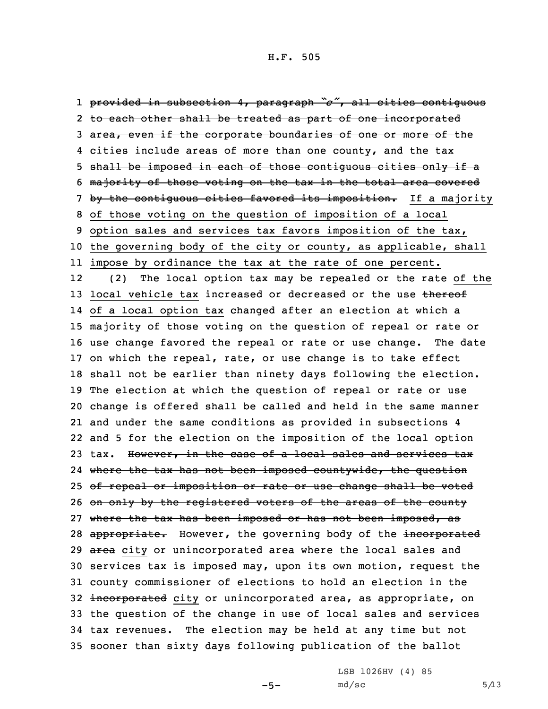provided in subsection 4, paragraph *"c"*, all cities contiguous 2 <del>to each other shall be treated as part of one incorporated</del> area, even if the corporate boundaries of one or more of the 4 <del>cities include areas of more than one county, and the tax</del> 5 shall be imposed in each of those contiguous cities only if a majority of those voting on the tax in the total area covered 7 by the contiguous cities favored its imposition. If a majority of those voting on the question of imposition of <sup>a</sup> local option sales and services tax favors imposition of the tax, the governing body of the city or county, as applicable, shall impose by ordinance the tax at the rate of one percent. 12 (2) The local option tax may be repealed or the rate of the 13 local vehicle tax increased or decreased or the use thereof of <sup>a</sup> local option tax changed after an election at which <sup>a</sup> majority of those voting on the question of repeal or rate or use change favored the repeal or rate or use change. The date on which the repeal, rate, or use change is to take effect shall not be earlier than ninety days following the election. The election at which the question of repeal or rate or use change is offered shall be called and held in the same manner and under the same conditions as provided in subsections 4 and 5 for the election on the imposition of the local option 23 tax. However, in the case of a local sales and services tax 24 where the tax has not been imposed countywide, the question of repeal or imposition or rate or use change shall be voted 26 on only by the registered voters of the areas of the county 27 where the tax has been imposed or has not been imposed, as 28 appropriate. However, the governing body of the incorporated 29 area city or unincorporated area where the local sales and services tax is imposed may, upon its own motion, request the county commissioner of elections to hold an election in the 32 incorporated city or unincorporated area, as appropriate, on the question of the change in use of local sales and services tax revenues. The election may be held at any time but not sooner than sixty days following publication of the ballot

 $-5-$ 

LSB 1026HV (4) 85  $md/sec$  5/13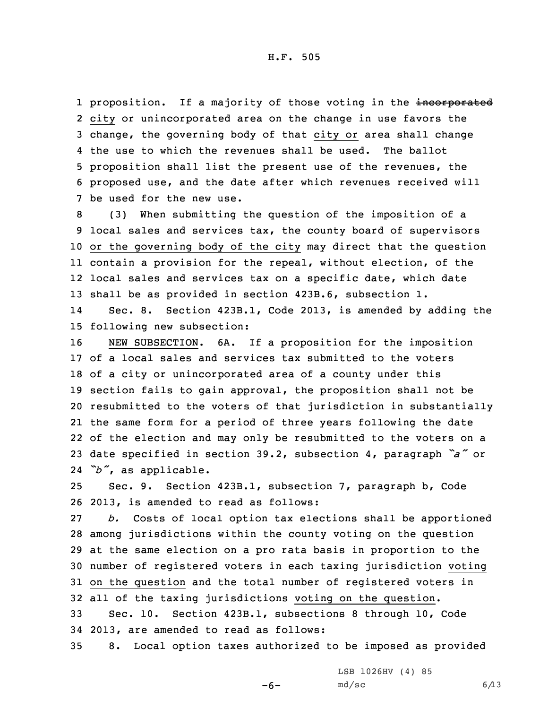1 proposition. If a majority of those voting in the incorporated city or unincorporated area on the change in use favors the change, the governing body of that city or area shall change the use to which the revenues shall be used. The ballot proposition shall list the present use of the revenues, the proposed use, and the date after which revenues received will be used for the new use.

 (3) When submitting the question of the imposition of <sup>a</sup> local sales and services tax, the county board of supervisors or the governing body of the city may direct that the question contain <sup>a</sup> provision for the repeal, without election, of the local sales and services tax on <sup>a</sup> specific date, which date shall be as provided in section 423B.6, subsection 1.

14 Sec. 8. Section 423B.1, Code 2013, is amended by adding the 15 following new subsection:

 NEW SUBSECTION. 6A. If <sup>a</sup> proposition for the imposition of <sup>a</sup> local sales and services tax submitted to the voters of <sup>a</sup> city or unincorporated area of <sup>a</sup> county under this section fails to gain approval, the proposition shall not be resubmitted to the voters of that jurisdiction in substantially the same form for <sup>a</sup> period of three years following the date of the election and may only be resubmitted to the voters on <sup>a</sup> date specified in section 39.2, subsection 4, paragraph *"a"* or *"b"*, as applicable.

25 Sec. 9. Section 423B.1, subsection 7, paragraph b, Code 26 2013, is amended to read as follows:

 *b.* Costs of local option tax elections shall be apportioned among jurisdictions within the county voting on the question at the same election on <sup>a</sup> pro rata basis in proportion to the number of registered voters in each taxing jurisdiction voting on the question and the total number of registered voters in all of the taxing jurisdictions voting on the question. Sec. 10. Section 423B.1, subsections 8 through 10, Code

34 2013, are amended to read as follows:

35 8. Local option taxes authorized to be imposed as provided

LSB 1026HV (4) 85

-6-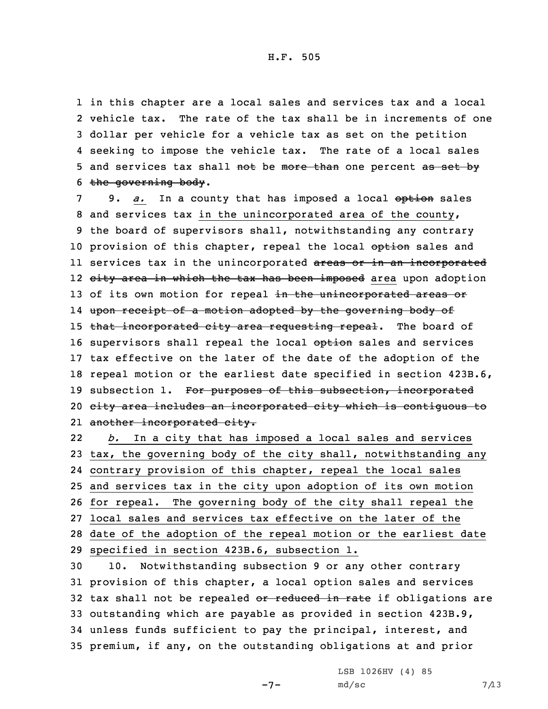in this chapter are <sup>a</sup> local sales and services tax and <sup>a</sup> local vehicle tax. The rate of the tax shall be in increments of one dollar per vehicle for <sup>a</sup> vehicle tax as set on the petition seeking to impose the vehicle tax. The rate of <sup>a</sup> local sales 5 and services tax shall not be more than one percent as set by the governing body.

7 9. *a.* In a county that has imposed a local option sales 8 and services tax in the unincorporated area of the county, 9 the board of supervisors shall, notwithstanding any contrary 10 provision of this chapter, repeal the local option sales and ll services tax in the unincorporated <del>areas or in an incorporated</del> 12 <del>city area in which the tax has been imposed</del> area upon adoption 13 of its own motion for repeal in the unincorporated areas or 14 upon receipt of <sup>a</sup> motion adopted by the governing body of 15 that incorporated city area requesting repeal. The board of 16 supervisors shall repeal the local option sales and services 17 tax effective on the later of the date of the adoption of the 18 repeal motion or the earliest date specified in section 423B.6, 19 subsection 1. For purposes of this subsection, incorporated 20 city area includes an incorporated city which is contiguous to 21 <del>another incorporated city.</del>

22 *b.* In <sup>a</sup> city that has imposed <sup>a</sup> local sales and services tax, the governing body of the city shall, notwithstanding any contrary provision of this chapter, repeal the local sales and services tax in the city upon adoption of its own motion for repeal. The governing body of the city shall repeal the local sales and services tax effective on the later of the date of the adoption of the repeal motion or the earliest date specified in section 423B.6, subsection 1.

 10. Notwithstanding subsection 9 or any other contrary provision of this chapter, <sup>a</sup> local option sales and services 32 tax shall not be repealed or reduced in rate if obligations are outstanding which are payable as provided in section 423B.9, unless funds sufficient to pay the principal, interest, and premium, if any, on the outstanding obligations at and prior

 $-7-$ 

LSB 1026HV (4) 85  $md/sec$  7/13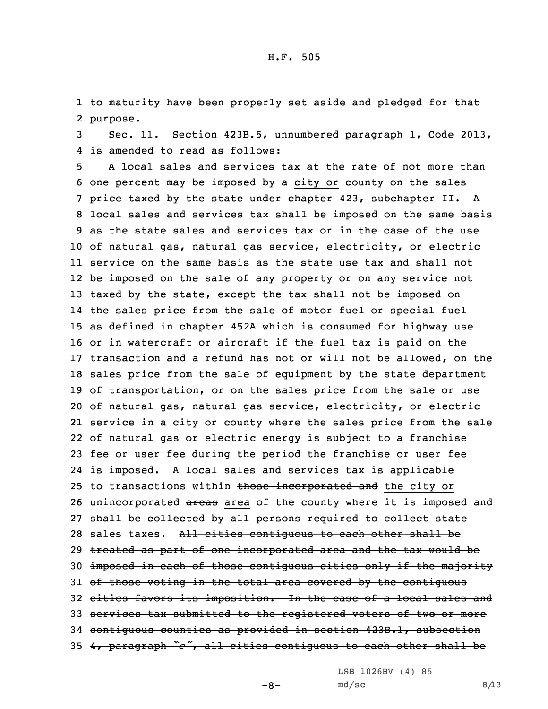1 to maturity have been properly set aside and pledged for that 2 purpose.

3 Sec. 11. Section 423B.5, unnumbered paragraph 1, Code 2013, 4 is amended to read as follows:

5 A local sales and services tax at the rate of not more than one percent may be imposed by <sup>a</sup> city or county on the sales price taxed by the state under chapter 423, subchapter II. <sup>A</sup> local sales and services tax shall be imposed on the same basis as the state sales and services tax or in the case of the use of natural gas, natural gas service, electricity, or electric service on the same basis as the state use tax and shall not be imposed on the sale of any property or on any service not 13 taxed by the state, except the tax shall not be imposed on the sales price from the sale of motor fuel or special fuel as defined in chapter 452A which is consumed for highway use or in watercraft or aircraft if the fuel tax is paid on the transaction and <sup>a</sup> refund has not or will not be allowed, on the sales price from the sale of equipment by the state department of transportation, or on the sales price from the sale or use of natural gas, natural gas service, electricity, or electric service in <sup>a</sup> city or county where the sales price from the sale of natural gas or electric energy is subject to <sup>a</sup> franchise fee or user fee during the period the franchise or user fee is imposed. <sup>A</sup> local sales and services tax is applicable 25 to transactions within those incorporated and the city or 26 unincorporated areas area of the county where it is imposed and shall be collected by all persons required to collect state 28 sales taxes. All cities contiguous to each other shall be treated as part of one incorporated area and the tax would be imposed in each of those contiguous cities only if the majority 31 of those voting in the total area covered by the contiguous cities favors its imposition. In the case of <sup>a</sup> local sales and services tax submitted to the registered voters of two or more contiguous counties as provided in section 423B.1, subsection 4, paragraph *"c"*, all cities contiguous to each other shall be

LSB 1026HV (4) 85

 $-8-$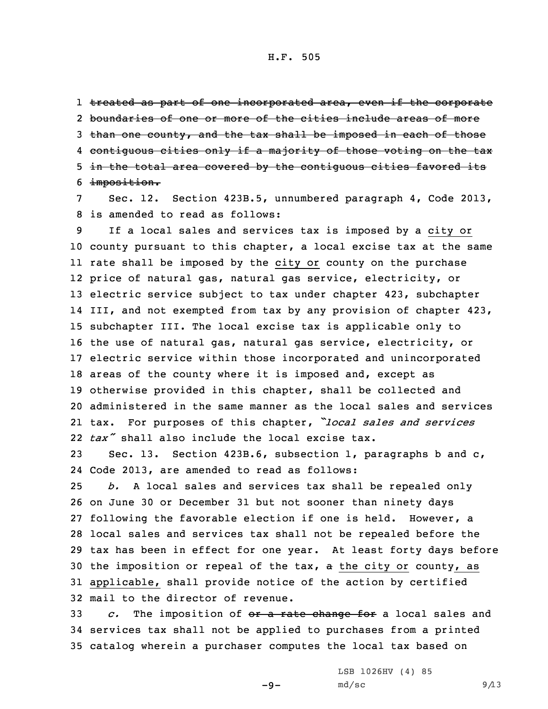1 <del>treated as part of one incorporated area, even if the corporate</del> 2 boundaries of one or more of the cities include areas of more 3 than one county, and the tax shall be imposed in each of those 4 contiguous cities only if <sup>a</sup> majority of those voting on the tax 5 in the total area covered by the contiguous cities favored its 6 imposition.

7 Sec. 12. Section 423B.5, unnumbered paragraph 4, Code 2013, 8 is amended to read as follows:

 If <sup>a</sup> local sales and services tax is imposed by <sup>a</sup> city or county pursuant to this chapter, <sup>a</sup> local excise tax at the same rate shall be imposed by the city or county on the purchase price of natural gas, natural gas service, electricity, or electric service subject to tax under chapter 423, subchapter III, and not exempted from tax by any provision of chapter 423, subchapter III. The local excise tax is applicable only to the use of natural gas, natural gas service, electricity, or electric service within those incorporated and unincorporated areas of the county where it is imposed and, except as otherwise provided in this chapter, shall be collected and administered in the same manner as the local sales and services tax. For purposes of this chapter, *"local sales and services tax"* shall also include the local excise tax.

23 Sec. 13. Section 423B.6, subsection 1, paragraphs b and c, 24 Code 2013, are amended to read as follows:

 *b.* <sup>A</sup> local sales and services tax shall be repealed only on June 30 or December 31 but not sooner than ninety days following the favorable election if one is held. However, <sup>a</sup> local sales and services tax shall not be repealed before the tax has been in effect for one year. At least forty days before the imposition or repeal of the tax, <sup>a</sup> the city or county, as applicable, shall provide notice of the action by certified mail to the director of revenue.

33 *c.* The imposition of or <sup>a</sup> rate change for <sup>a</sup> local sales and 34 services tax shall not be applied to purchases from <sup>a</sup> printed 35 catalog wherein <sup>a</sup> purchaser computes the local tax based on

 $-9-$ 

LSB 1026HV (4) 85  $md/sec$  9/13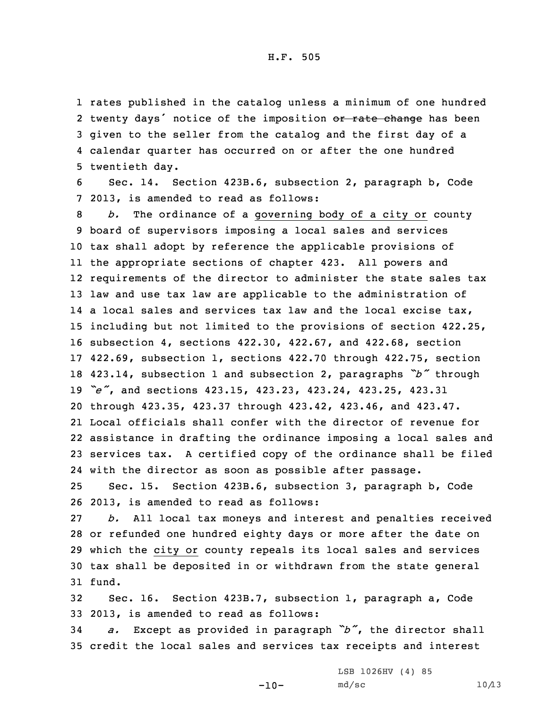rates published in the catalog unless <sup>a</sup> minimum of one hundred 2 twenty days' notice of the imposition or rate change has been given to the seller from the catalog and the first day of <sup>a</sup> calendar quarter has occurred on or after the one hundred twentieth day.

6 Sec. 14. Section 423B.6, subsection 2, paragraph b, Code 7 2013, is amended to read as follows:

 *b.* The ordinance of <sup>a</sup> governing body of <sup>a</sup> city or county board of supervisors imposing <sup>a</sup> local sales and services tax shall adopt by reference the applicable provisions of the appropriate sections of chapter 423. All powers and requirements of the director to administer the state sales tax law and use tax law are applicable to the administration of 14 a local sales and services tax law and the local excise tax, including but not limited to the provisions of section 422.25, subsection 4, sections 422.30, 422.67, and 422.68, section 422.69, subsection 1, sections 422.70 through 422.75, section 423.14, subsection <sup>1</sup> and subsection 2, paragraphs *"b"* through *"e"*, and sections 423.15, 423.23, 423.24, 423.25, 423.31 through 423.35, 423.37 through 423.42, 423.46, and 423.47. Local officials shall confer with the director of revenue for assistance in drafting the ordinance imposing <sup>a</sup> local sales and services tax. <sup>A</sup> certified copy of the ordinance shall be filed with the director as soon as possible after passage.

25 Sec. 15. Section 423B.6, subsection 3, paragraph b, Code 26 2013, is amended to read as follows:

 *b.* All local tax moneys and interest and penalties received or refunded one hundred eighty days or more after the date on which the city or county repeals its local sales and services tax shall be deposited in or withdrawn from the state general 31 fund.

32 Sec. 16. Section 423B.7, subsection 1, paragraph a, Code 33 2013, is amended to read as follows:

<sup>34</sup> *a.* Except as provided in paragraph *"b"*, the director shall 35 credit the local sales and services tax receipts and interest

 $-10-$ 

LSB 1026HV (4) 85  $md/sec$  10/13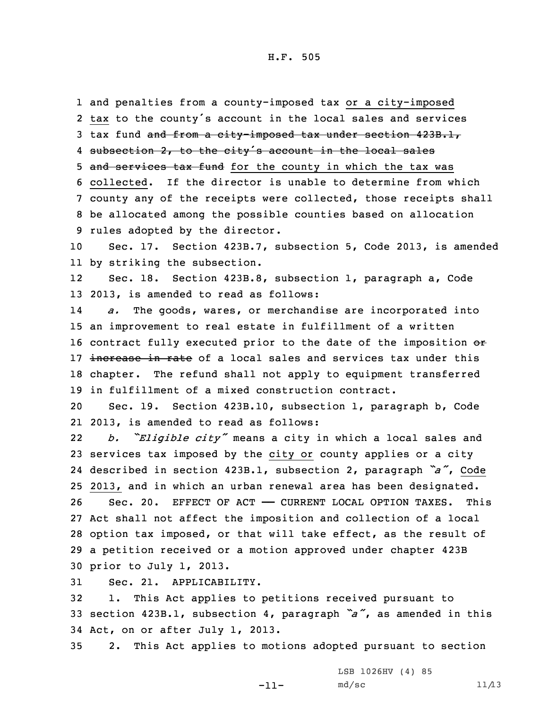and penalties from <sup>a</sup> county-imposed tax or <sup>a</sup> city-imposed tax to the county's account in the local sales and services 3 tax fund and from a city-imposed tax under section 423B.1, 4 subsection 2, to the city's account in the local sales 5 and services tax fund for the county in which the tax was collected. If the director is unable to determine from which county any of the receipts were collected, those receipts shall be allocated among the possible counties based on allocation rules adopted by the director.

10 Sec. 17. Section 423B.7, subsection 5, Code 2013, is amended 11 by striking the subsection.

12 Sec. 18. Section 423B.8, subsection 1, paragraph a, Code 13 2013, is amended to read as follows:

14 *a.* The goods, wares, or merchandise are incorporated into 15 an improvement to real estate in fulfillment of <sup>a</sup> written 16 contract fully executed prior to the date of the imposition or 17 increase in rate of a local sales and services tax under this 18 chapter. The refund shall not apply to equipment transferred 19 in fulfillment of <sup>a</sup> mixed construction contract.

20 Sec. 19. Section 423B.10, subsection 1, paragraph b, Code 21 2013, is amended to read as follows:

22 *b. "Eligible city"* means <sup>a</sup> city in which <sup>a</sup> local sales and services tax imposed by the city or county applies or <sup>a</sup> city described in section 423B.1, subsection 2, paragraph *"a"*, Code 2013, and in which an urban renewal area has been designated. 26 Sec. 20. EFFECT OF ACT - CURRENT LOCAL OPTION TAXES. This Act shall not affect the imposition and collection of <sup>a</sup> local option tax imposed, or that will take effect, as the result of <sup>a</sup> petition received or <sup>a</sup> motion approved under chapter 423B prior to July 1, 2013.

31 Sec. 21. APPLICABILITY.

32 1. This Act applies to petitions received pursuant to <sup>33</sup> section 423B.1, subsection 4, paragraph *"a"*, as amended in this 34 Act, on or after July 1, 2013.

35 2. This Act applies to motions adopted pursuant to section

-11-

LSB 1026HV (4) 85  $md/sec$  11/13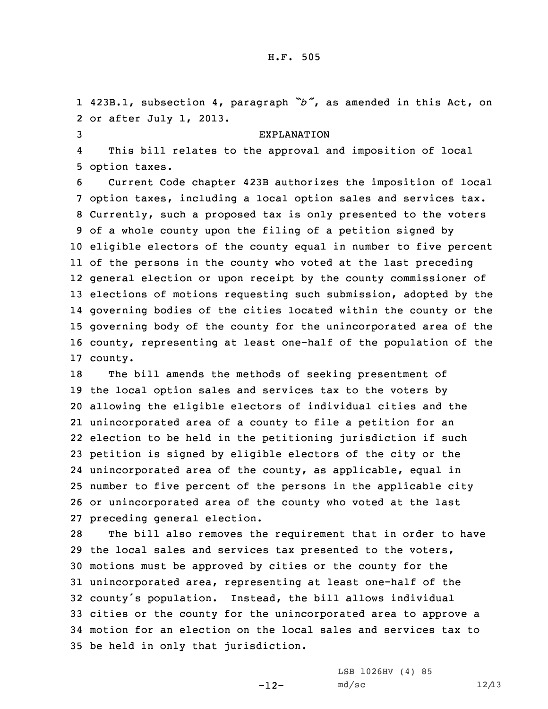1 423B.1, subsection 4, paragraph *"b"*, as amended in this Act, on 2 or after July 1, 2013.

## 3 EXPLANATION

4 This bill relates to the approval and imposition of local 5 option taxes.

 Current Code chapter 423B authorizes the imposition of local option taxes, including <sup>a</sup> local option sales and services tax. Currently, such <sup>a</sup> proposed tax is only presented to the voters of <sup>a</sup> whole county upon the filing of <sup>a</sup> petition signed by eligible electors of the county equal in number to five percent of the persons in the county who voted at the last preceding general election or upon receipt by the county commissioner of elections of motions requesting such submission, adopted by the governing bodies of the cities located within the county or the governing body of the county for the unincorporated area of the county, representing at least one-half of the population of the 17 county.

 The bill amends the methods of seeking presentment of the local option sales and services tax to the voters by allowing the eligible electors of individual cities and the unincorporated area of <sup>a</sup> county to file <sup>a</sup> petition for an election to be held in the petitioning jurisdiction if such petition is signed by eligible electors of the city or the unincorporated area of the county, as applicable, equal in number to five percent of the persons in the applicable city or unincorporated area of the county who voted at the last preceding general election.

 The bill also removes the requirement that in order to have the local sales and services tax presented to the voters, motions must be approved by cities or the county for the unincorporated area, representing at least one-half of the county's population. Instead, the bill allows individual cities or the county for the unincorporated area to approve <sup>a</sup> motion for an election on the local sales and services tax to be held in only that jurisdiction.

-12-

LSB 1026HV (4) 85  $md/sec$  12/13